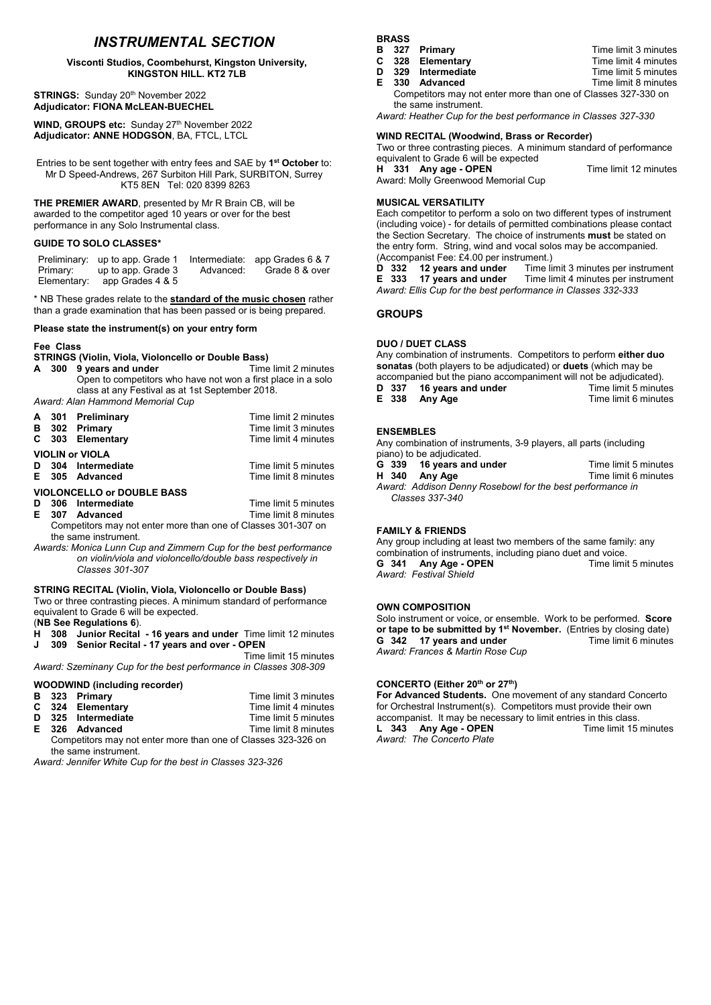# *INSTRUMENTAL SECTION*

#### Visconti Studios, Coombehurst, Kingston University, KINGSTON HILL. KT2 7LB

STRINGS: Sunday 20<sup>th</sup> November 2022 Adjudicator: FIONA McLEAN-BUECHEL

WIND, GROUPS etc: Sunday 27<sup>th</sup> November 2022 Adjudicator: ANNE HODGSON, BA, FTCL, LTCL

Entries to be sent together with entry fees and SAE by 1<sup>st</sup> October to: Mr D Speed-Andrews, 267 Surbiton Hill Park, SURBITON, Surrey KT5 8EN Tel: 020 8399 8263

THE PREMIER AWARD, presented by Mr R Brain CB, will be awarded to the competitor aged 10 years or over for the best performance in any Solo Instrumental class.

## GUIDE TO SOLO CLASSES\*

Preliminary: up to app. Grade 1 Intermediate: app Grades 6 & 7<br>Primary: up to app. Grade 3 Advanced: Grade 8 & over Primary: up to app. Grade 3<br>Elementary: app Grades 4 & 5 app Grades 4 & 5

\* NB These grades relate to the **standard of the music chosen** rather than a grade examination that has been passed or is being prepared.

#### Please state the instrument(s) on your entry form

## Fee Class

STRINGS (Violin, Viola, Violoncello or Double Bass)

A 300 9 years and under Time limit 2 minutes Open to competitors who have not won a first place in a solo class at any Festival as at 1st September 2018.

*Award: Alan Hammond Memorial Cup*

|                                   |                                                               | A 301 Preliminary | Time limit 2 minutes |  |
|-----------------------------------|---------------------------------------------------------------|-------------------|----------------------|--|
| в                                 |                                                               | 302 Primary       | Time limit 3 minutes |  |
|                                   |                                                               | C 303 Elementary  | Time limit 4 minutes |  |
| <b>VIOLIN or VIOLA</b>            |                                                               |                   |                      |  |
| D                                 |                                                               | 304 Intermediate  | Time limit 5 minutes |  |
|                                   |                                                               | E 305 Advanced    | Time limit 8 minutes |  |
| <b>VIOLONCELLO or DOUBLE BASS</b> |                                                               |                   |                      |  |
| D                                 |                                                               | 306 Intermediate  | Time limit 5 minutes |  |
| E.                                |                                                               | 307 Advanced      | Time limit 8 minutes |  |
|                                   | Competitors may not enter more than one of Classes 301-307 on |                   |                      |  |

the same instrument. *Awards: Monica Lunn Cup and Zimmern Cup for the best performance* 

*on violin/viola and violoncello/double bass respectively in Classes 301-307*

## STRING RECITAL (Violin, Viola, Violoncello or Double Bass)

Two or three contrasting pieces. A minimum standard of performance equivalent to Grade 6 will be expected.

(NB See Regulations 6).<br>H 308 Junior Recital

- H 308 Junior Recital 16 years and under Time limit 12 minutes<br>J 309 Senior Recital 17 years and over OPEN Senior Recital - 17 years and over - OPEN
- Time limit 15 minutes *Award: Szeminany Cup for the best performance in Classes 308-309*

### WOODWIND (including recorder)

|  |  | Time limit 3 minutes                                                      |  |  |
|--|--|---------------------------------------------------------------------------|--|--|
|  |  | Time limit 4 minutes                                                      |  |  |
|  |  | Time limit 5 minutes                                                      |  |  |
|  |  | Time limit 8 minutes                                                      |  |  |
|  |  | B 323 Primary<br>C 324 Elementary<br>D 325 Intermediate<br>E 326 Advanced |  |  |

Competitors may not enter more than one of Classes 323-326 on the same instrument.

*Award: Jennifer White Cup for the best in Classes 323-326*

**BRASS** 

|                                                               | B 327 Primary      | Time limit 3 minutes |  |
|---------------------------------------------------------------|--------------------|----------------------|--|
|                                                               | C 328 Elementary   | Time limit 4 minutes |  |
|                                                               | D 329 Intermediate | Time limit 5 minutes |  |
|                                                               | E 330 Advanced     | Time limit 8 minutes |  |
| Competitors may not enter more than one of Classes 327-330 on |                    |                      |  |
| the same instrument.                                          |                    |                      |  |

*Award: Heather Cup for the best performance in Classes 327-330*

### WIND RECITAL (Woodwind, Brass or Recorder)

Two or three contrasting pieces. A minimum standard of performance equivalent to Grade 6 will be expected H 331 Any age - OPEN Time limit 12 minutes Award: Molly Greenwood Memorial Cup

MUSICAL VERSATILITY

Each competitor to perform a solo on two different types of instrument (including voice) - for details of permitted combinations please contact the Section Secretary. The choice of instruments must be stated on the entry form. String, wind and vocal solos may be accompanied. (Accompanist Fee:  $£4.00$  per instrument.)<br>**D** 332 12 years and under Time li

D 332 12 years and under Time limit 3 minutes per instrument<br>E 333 17 years and under Time limit 4 minutes per instrument Time limit 4 minutes per instrument *Award: Ellis Cup for the best performance in Classes 332-333*

## **GROUPS**

## DUO / DUET CLASS

Any combination of instruments. Competitors to perform either duo sonatas (both players to be adjudicated) or duets (which may be accompanied but the piano accompaniment will not be adjudicated).<br>**D** 337 16 years and under Time limit 5 minutes **16 years and under Time limit 5 minutes**<br> **Any Age 1337 16 Any Age 1337 16 Any Age 14 Any Age 14 Any Age 14 Any Age 14 Any Age 14 Any Age 14 Any Age 14**  $E$  338 Any Age

### ENSEMBLES

Any combination of instruments, 3-9 players, all parts (including

- piano) to be adjudicated.<br>**G** 339 16 years and G 339 16 years and under<br>
H 340 Any Age **Time limit 6 minutes** Time limit 6 minutes
- 
- *Award: Addison Denny Rosebowl for the best performance in Classes 337-340*

## FAMILY & FRIENDS

Any group including at least two members of the same family: any combination of instruments, including piano duet and voice.<br> **G** 341 Any Age - OPEN Time limit 5 minutes Any Age - OPEN *Award: Festival Shield*

### OWN COMPOSITION

Solo instrument or voice, or ensemble. Work to be performed. Score or tape to be submitted by 1<sup>st</sup> November. (Entries by closing date) G 342 17 years and under Time limit 6 minutes *Award: Frances & Martin Rose Cup*

## CONCERTO (Either 20<sup>th</sup> or 27<sup>th</sup>)

For Advanced Students. One movement of any standard Concerto for Orchestral Instrument(s). Competitors must provide their own accompanist. It may be necessary to limit entries in this class.<br>**L 343 Any Age - OPEN** Time limit 15 minutes L 343 Any Age - OPEN *Award: The Concerto Plate*